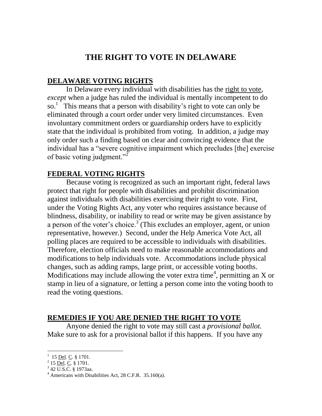## **THE RIGHT TO VOTE IN DELAWARE**

## **DELAWARE VOTING RIGHTS**

In Delaware every individual with disabilities has the right to vote, *except* when a judge has ruled the individual is mentally incompetent to do so.<sup>1</sup> This means that a person with disability's right to vote can only be eliminated through a court order under very limited circumstances. Even involuntary commitment orders or guardianship orders have to explicitly state that the individual is prohibited from voting. In addition, a judge may only order such a finding based on clear and convincing evidence that the individual has a "severe cognitive impairment which precludes [the] exercise of basic voting judgment."<sup>2</sup>

## **FEDERAL VOTING RIGHTS**

Because voting is recognized as such an important right, federal laws protect that right for people with disabilities and prohibit discrimination against individuals with disabilities exercising their right to vote. First, under the Voting Rights Act, any voter who requires assistance because of blindness, disability, or inability to read or write may be given assistance by a person of the voter's choice.<sup>3</sup> (This excludes an employer, agent, or union representative, however.) Second, under the Help America Vote Act, all polling places are required to be accessible to individuals with disabilities. Therefore, election officials need to make reasonable accommodations and modifications to help individuals vote. Accommodations include physical changes, such as adding ramps, large print, or accessible voting booths. Modifications may include allowing the voter extra time<sup>4</sup>, permitting an X or stamp in lieu of a signature, or letting a person come into the voting booth to read the voting questions.

## **REMEDIES IF YOU ARE DENIED THE RIGHT TO VOTE**

Anyone denied the right to vote may still cast a *provisional ballot.* Make sure to ask for a provisional ballot if this happens. If you have any

 $\overline{a}$ 

<sup>&</sup>lt;sup>1</sup> 15 <u>Del</u>. C. § 1701.

 $^{2}$  15 <u>Del</u>. C. § 1701.

 $3$  42 U.S.C. § 1973aa.

 $4$  Americans with Disabilities Act, 28 C.F.R. 35.160(a).